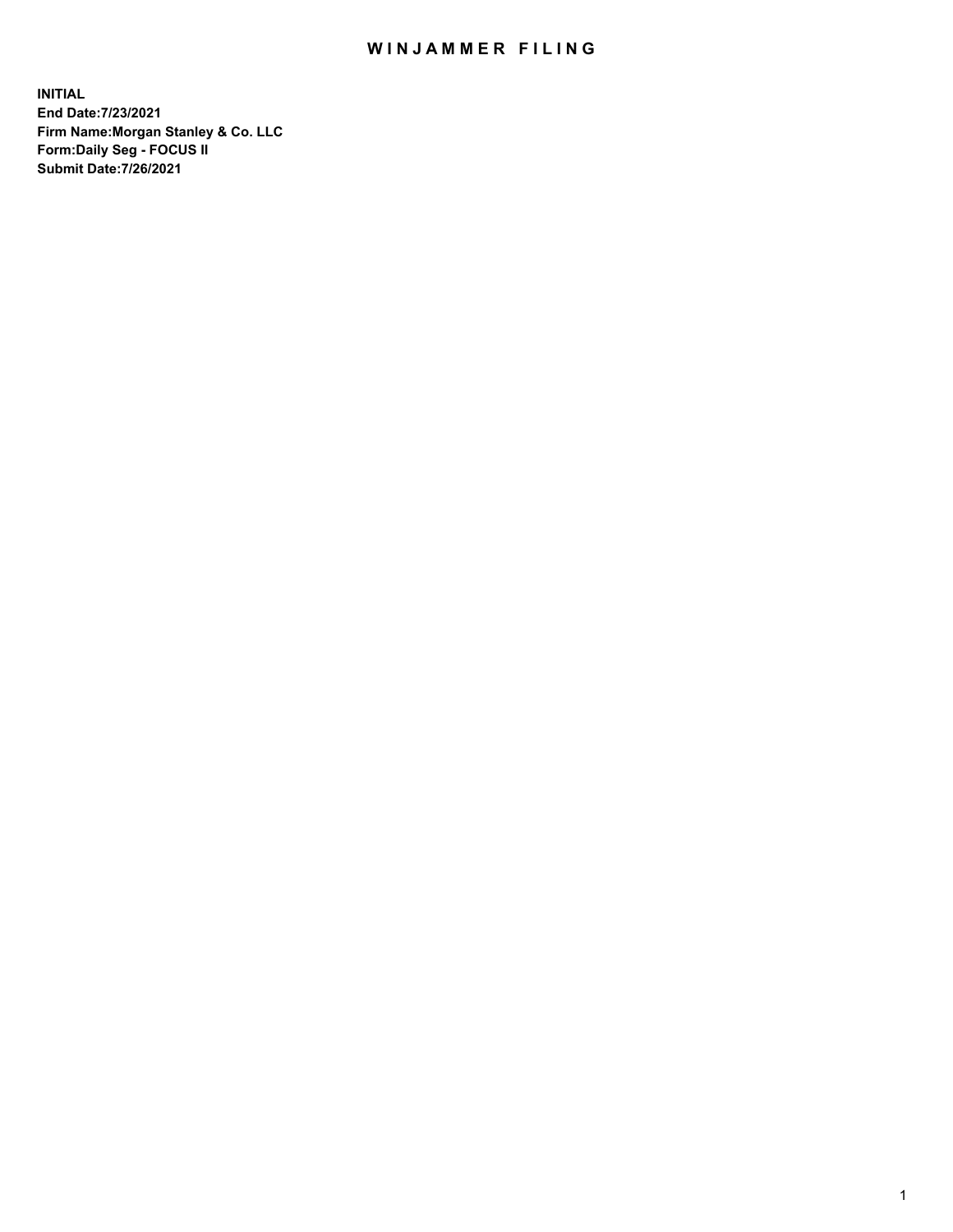## WIN JAMMER FILING

**INITIAL End Date:7/23/2021 Firm Name:Morgan Stanley & Co. LLC Form:Daily Seg - FOCUS II Submit Date:7/26/2021**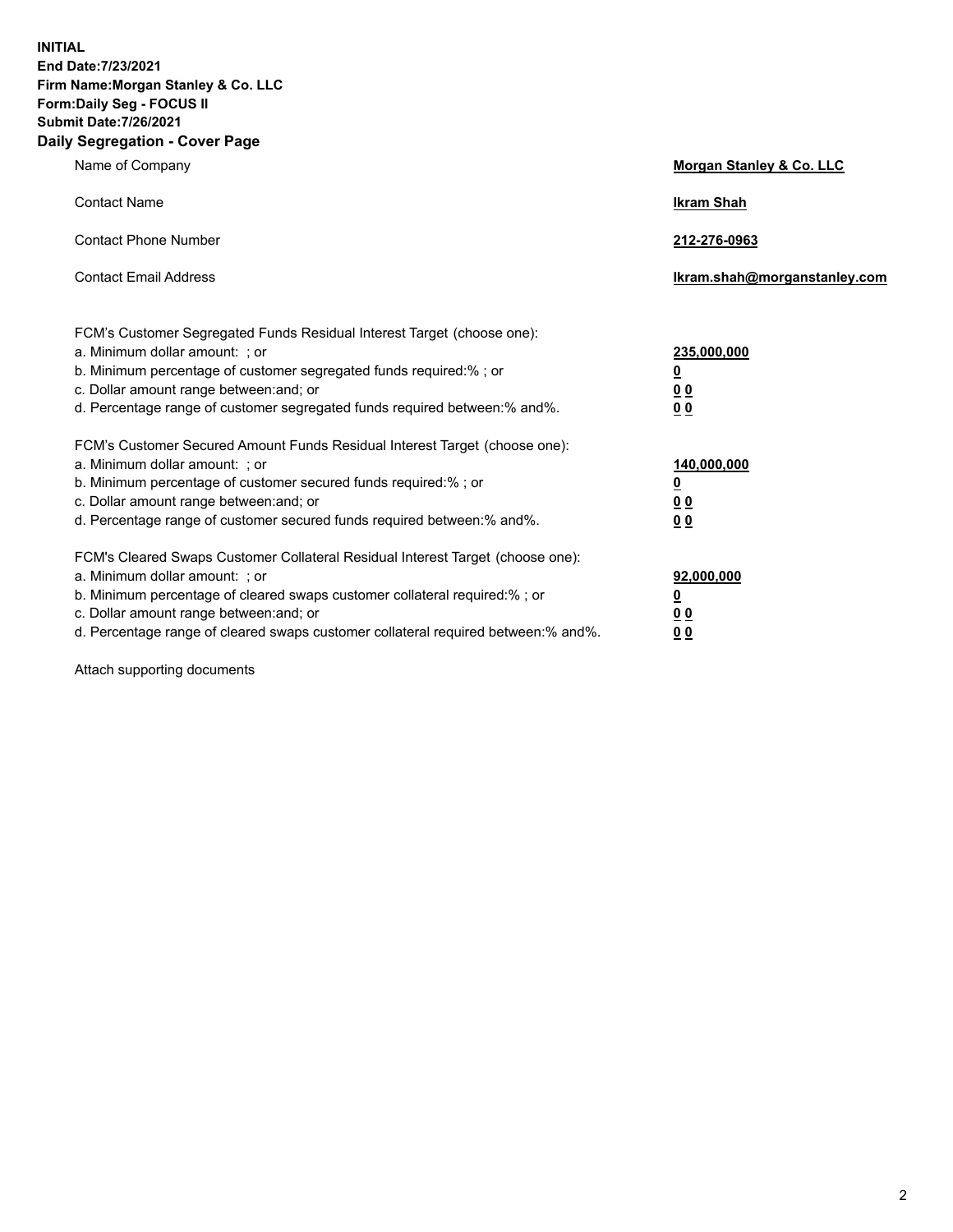**INITIAL End Date:7/23/2021 Firm Name:Morgan Stanley & Co. LLC Form:Daily Seg - FOCUS II Submit Date:7/26/2021 Daily Segregation - Cover Page**

| Name of Company                                                                                                                                                                                                                                                                                                                | Morgan Stanley & Co. LLC                                    |
|--------------------------------------------------------------------------------------------------------------------------------------------------------------------------------------------------------------------------------------------------------------------------------------------------------------------------------|-------------------------------------------------------------|
| <b>Contact Name</b>                                                                                                                                                                                                                                                                                                            | <b>Ikram Shah</b>                                           |
| <b>Contact Phone Number</b>                                                                                                                                                                                                                                                                                                    | 212-276-0963                                                |
| <b>Contact Email Address</b>                                                                                                                                                                                                                                                                                                   | lkram.shah@morganstanley.com                                |
| FCM's Customer Segregated Funds Residual Interest Target (choose one):<br>a. Minimum dollar amount: ; or<br>b. Minimum percentage of customer segregated funds required:% ; or<br>c. Dollar amount range between: and; or<br>d. Percentage range of customer segregated funds required between:% and%.                         | 235,000,000<br><u>0</u><br>0 <sup>0</sup><br>00             |
| FCM's Customer Secured Amount Funds Residual Interest Target (choose one):<br>a. Minimum dollar amount: : or<br>b. Minimum percentage of customer secured funds required:%; or<br>c. Dollar amount range between: and; or<br>d. Percentage range of customer secured funds required between: % and %.                          | 140,000,000<br><u>0</u><br>0 <sub>0</sub><br>0 <sub>0</sub> |
| FCM's Cleared Swaps Customer Collateral Residual Interest Target (choose one):<br>a. Minimum dollar amount: ; or<br>b. Minimum percentage of cleared swaps customer collateral required:% ; or<br>c. Dollar amount range between: and; or<br>d. Percentage range of cleared swaps customer collateral required between:% and%. | 92,000,000<br><u>0</u><br><u>00</u><br>00                   |

Attach supporting documents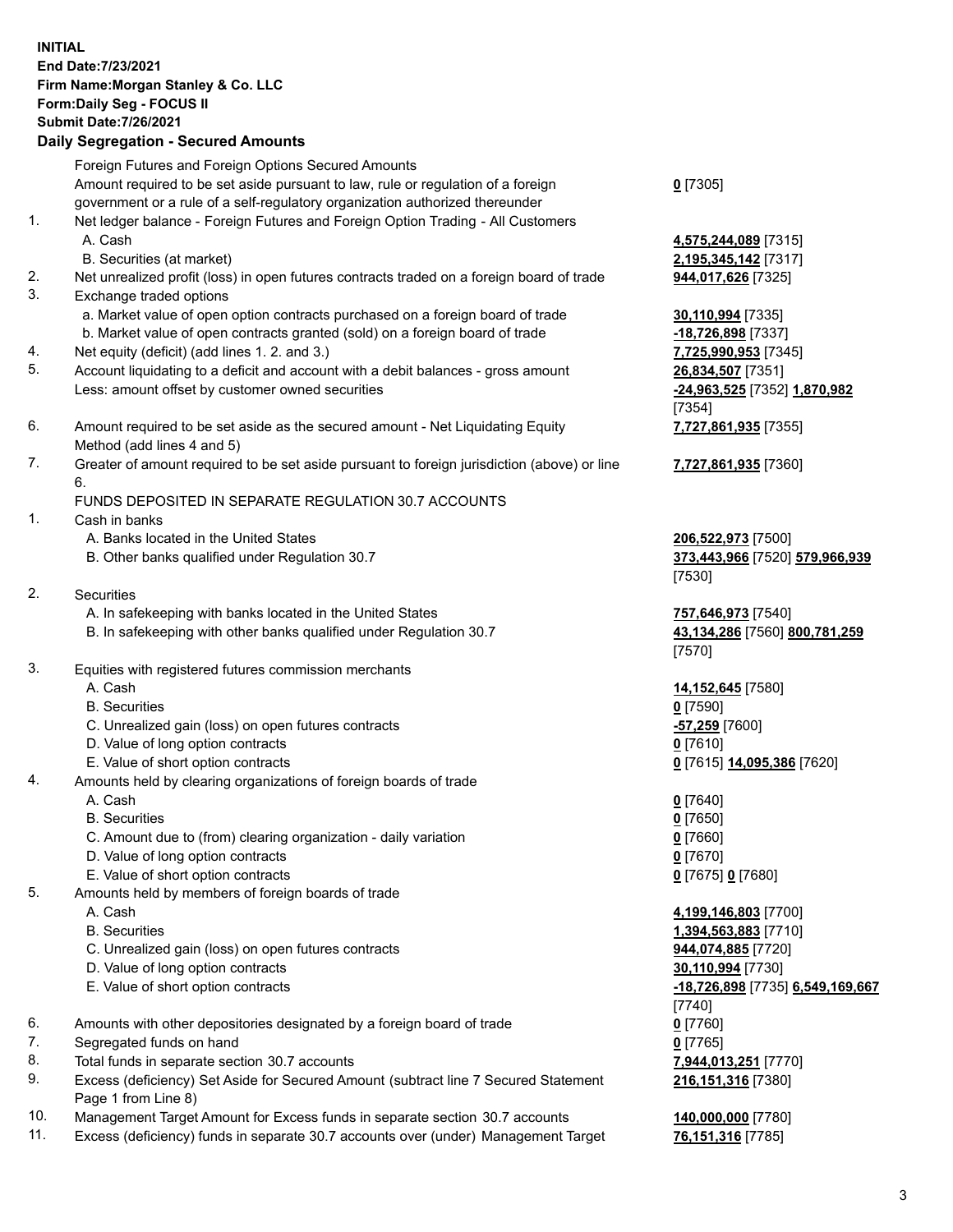## **INITIAL End Date:7/23/2021 Firm Name:Morgan Stanley & Co. LLC Form:Daily Seg - FOCUS II Submit Date:7/26/2021**

## **Daily Segregation - Secured Amounts**

Foreign Futures and Foreign Options Secured Amounts Amount required to be set aside pursuant to law, rule or regulation of a foreign government or a rule of a self-regulatory organization authorized thereunder 1. Net ledger balance - Foreign Futures and Foreign Option Trading - All Customers A. Cash **4,575,244,089** [7315] B. Securities (at market) **2,195,345,142** [7317] 2. Net unrealized profit (loss) in open futures contracts traded on a foreign board of trade **944,017,626** [7325] 3. Exchange traded options a. Market value of open option contracts purchased on a foreign board of trade **30,110,994** [7335] b. Market value of open contracts granted (sold) on a foreign board of trade **-18,726,898** [7337] 4. Net equity (deficit) (add lines 1. 2. and 3.) **7,725,990,953** [7345] 5. Account liquidating to a deficit and account with a debit balances - gross amount **26,834,507** [7351] Less: amount offset by customer owned securities **-24,963,525** [7352] **1,870,982** 6. Amount required to be set aside as the secured amount - Net Liquidating Equity Method (add lines 4 and 5) 7. Greater of amount required to be set aside pursuant to foreign jurisdiction (above) or line 6. FUNDS DEPOSITED IN SEPARATE REGULATION 30.7 ACCOUNTS 1. Cash in banks A. Banks located in the United States **206,522,973** [7500] B. Other banks qualified under Regulation 30.7 **373,443,966** [7520] **579,966,939** 2. Securities A. In safekeeping with banks located in the United States **757,646,973** [7540] B. In safekeeping with other banks qualified under Regulation 30.7 **43,134,286** [7560] **800,781,259** 3. Equities with registered futures commission merchants A. Cash **14,152,645** [7580] B. Securities **0** [7590] C. Unrealized gain (loss) on open futures contracts **-57,259** [7600] D. Value of long option contracts **0** [7610] E. Value of short option contracts **0** [7615] **14,095,386** [7620] 4. Amounts held by clearing organizations of foreign boards of trade A. Cash **0** [7640] B. Securities **0** [7650] C. Amount due to (from) clearing organization - daily variation **0** [7660] D. Value of long option contracts **0** [7670] E. Value of short option contracts **0** [7675] **0** [7680] 5. Amounts held by members of foreign boards of trade A. Cash **4,199,146,803** [7700] B. Securities **1,394,563,883** [7710] C. Unrealized gain (loss) on open futures contracts **944,074,885** [7720] D. Value of long option contracts **30,110,994** [7730]

- 
- 6. Amounts with other depositories designated by a foreign board of trade **0** [7760]
- 7. Segregated funds on hand **0** [7765]
- 8. Total funds in separate section 30.7 accounts **7,944,013,251** [7770]
- 9. Excess (deficiency) Set Aside for Secured Amount (subtract line 7 Secured Statement Page 1 from Line 8)
- 10. Management Target Amount for Excess funds in separate section 30.7 accounts **140,000,000** [7780]
- 11. Excess (deficiency) funds in separate 30.7 accounts over (under) Management Target **76,151,316** [7785]

**0** [7305]

[7354] **7,727,861,935** [7355]

**7,727,861,935** [7360]

[7530]

[7570]

 E. Value of short option contracts **-18,726,898** [7735] **6,549,169,667** [7740] **216,151,316** [7380]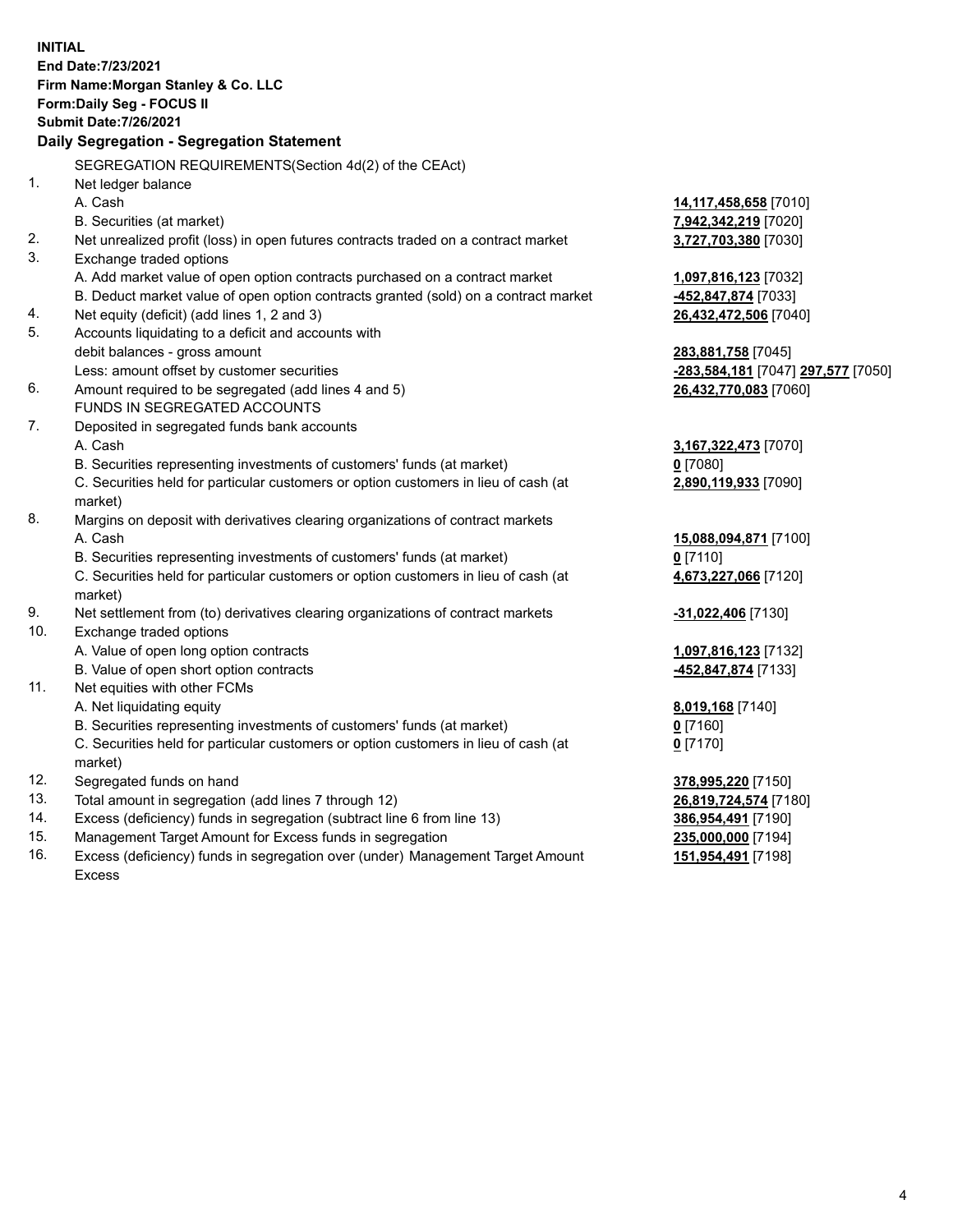**INITIAL End Date:7/23/2021 Firm Name:Morgan Stanley & Co. LLC Form:Daily Seg - FOCUS II Submit Date:7/26/2021 Daily Segregation - Segregation Statement** SEGREGATION REQUIREMENTS(Section 4d(2) of the CEAct) 1. Net ledger balance A. Cash **14,117,458,658** [7010] B. Securities (at market) **7,942,342,219** [7020] 2. Net unrealized profit (loss) in open futures contracts traded on a contract market **3,727,703,380** [7030] 3. Exchange traded options A. Add market value of open option contracts purchased on a contract market **1,097,816,123** [7032] B. Deduct market value of open option contracts granted (sold) on a contract market **-452,847,874** [7033] 4. Net equity (deficit) (add lines 1, 2 and 3) **26,432,472,506** [7040] 5. Accounts liquidating to a deficit and accounts with debit balances - gross amount **283,881,758** [7045] Less: amount offset by customer securities **-283,584,181** [7047] **297,577** [7050] 6. Amount required to be segregated (add lines 4 and 5) **26,432,770,083** [7060] FUNDS IN SEGREGATED ACCOUNTS 7. Deposited in segregated funds bank accounts A. Cash **3,167,322,473** [7070] B. Securities representing investments of customers' funds (at market) **0** [7080] C. Securities held for particular customers or option customers in lieu of cash (at market) **2,890,119,933** [7090] 8. Margins on deposit with derivatives clearing organizations of contract markets A. Cash **15,088,094,871** [7100] B. Securities representing investments of customers' funds (at market) **0** [7110] C. Securities held for particular customers or option customers in lieu of cash (at market) **4,673,227,066** [7120] 9. Net settlement from (to) derivatives clearing organizations of contract markets **-31,022,406** [7130] 10. Exchange traded options A. Value of open long option contracts **1,097,816,123** [7132] B. Value of open short option contracts **-452,847,874** [7133] 11. Net equities with other FCMs A. Net liquidating equity **8,019,168** [7140] B. Securities representing investments of customers' funds (at market) **0** [7160] C. Securities held for particular customers or option customers in lieu of cash (at market) **0** [7170] 12. Segregated funds on hand **378,995,220** [7150] 13. Total amount in segregation (add lines 7 through 12) **26,819,724,574** [7180] 14. Excess (deficiency) funds in segregation (subtract line 6 from line 13) **386,954,491** [7190] 15. Management Target Amount for Excess funds in segregation **235,000,000** [7194] **151,954,491** [7198]

16. Excess (deficiency) funds in segregation over (under) Management Target Amount Excess